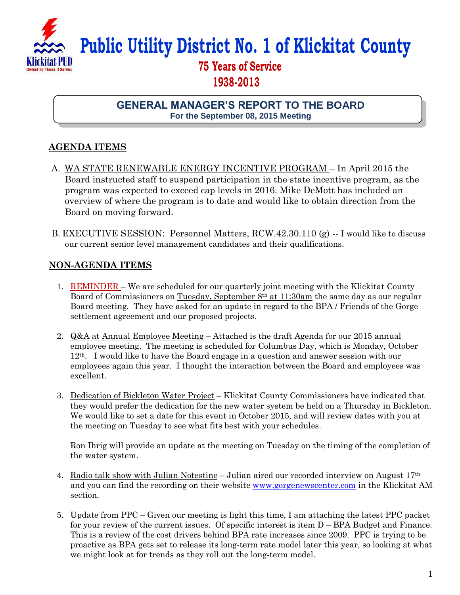

## **Public Utility District No. 1 of Klickitat County**

## **75 Years of Service 1938-2013**

**GENERAL MANAGER'S REPORT TO THE BOARD For the September 08, 2015 Meeting**

## **AGENDA ITEMS**

- A. WA STATE RENEWABLE ENERGY INCENTIVE PROGRAM In April 2015 the Board instructed staff to suspend participation in the state incentive program, as the program was expected to exceed cap levels in 2016. Mike DeMott has included an overview of where the program is to date and would like to obtain direction from the Board on moving forward.
- B. EXECUTIVE SESSION: Personnel Matters, RCW.42.30.110 (g) -- I would like to discuss our current senior level management candidates and their qualifications.

## **NON-AGENDA ITEMS**

- 1. REMINDER We are scheduled for our quarterly joint meeting with the Klickitat County Board of Commissioners on Tuesday, September 8<sup>th</sup> at 11:30am the same day as our regular Board meeting. They have asked for an update in regard to the BPA / Friends of the Gorge settlement agreement and our proposed projects.
- 2. Q&A at Annual Employee Meeting Attached is the draft Agenda for our 2015 annual employee meeting. The meeting is scheduled for Columbus Day, which is Monday, October 12th. I would like to have the Board engage in a question and answer session with our employees again this year. I thought the interaction between the Board and employees was excellent.
- 3. Dedication of Bickleton Water Project Klickitat County Commissioners have indicated that they would prefer the dedication for the new water system be held on a Thursday in Bickleton. We would like to set a date for this event in October 2015, and will review dates with you at the meeting on Tuesday to see what fits best with your schedules.

Ron Ihrig will provide an update at the meeting on Tuesday on the timing of the completion of the water system.

- 4. Radio talk show with Julian Notestine Julian aired our recorded interview on August  $17<sup>th</sup>$ and you can find the recording on their website [www.gorgenewscenter.com](http://www.gorgenewscenter.com/) in the Klickitat AM section.
- 5. Update from PPC Given our meeting is light this time, I am attaching the latest PPC packet for your review of the current issues. Of specific interest is item D – BPA Budget and Finance. This is a review of the cost drivers behind BPA rate increases since 2009. PPC is trying to be proactive as BPA gets set to release its long-term rate model later this year, so looking at what we might look at for trends as they roll out the long-term model.